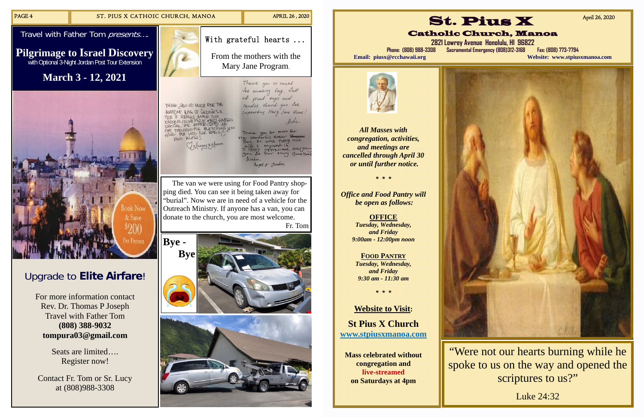# Upgrade to **Elite Airfare**!

For more information contact Rev. Dr. Thomas P Joseph Travel with Father Tom **(808) 388-9032 tompura03@gmail.com** 

> Seats are limited…. Register now!

With grateful hearts ... From the mothers with the Mary Jane Program.

> Thank you so much for amazing hap full

of preat toys and candles thank you fee

supporting Hary Jave Home: terful easter was really all + Jeadon

Contact Fr. Tom or Sr. Lucy at (808)988-3308



 The van we were using for Food Pantry shopping died. You can see it being taken away for "burial". Now we are in need of a vehicle for the Outreach Ministry. If anyone has a van, you can donate to the church, you are most welcome.

> "Were not our hearts burning while he spoke to us on the way and opened the scriptures to us?"

Fr. Tom



*All Masses with congregation, activities, and meetings are cancelled through April 30 or until further notice.* 

*\* \* \** 

*Office and Food Pantry will be open as follows:* 

> **OFFICE**  *Tuesday, Wednesday, and Friday 9:00am - 12:00pm noon*

**FOOD PANTRY** *Tuesday, Wednesday, and Friday 9:30 am - 11:30 am* 

*\* \* \** 

**Website to Visit:** 

**St Pius X Church www.stpiusxmanoa.com** 

**Mass celebrated without congregation and live-streamed on Saturdays at 4pm** 







**2821 Lowrey Avenue Honolulu, HI 96822 Phone: (808) 988-3308 Sacramental Emergency (808)312-3168 Fax: (808) 773-7794 Email: piusx@rcchawaii.org Website: www.stpiusxmanoa.com**



April 26, 2020

Luke 24:32